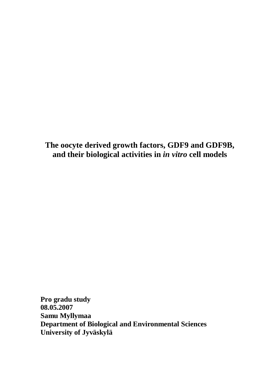**The oocyte derived growth factors, GDF9 and GDF9B, and their biological activities in** *in vitro* **cell models**

**Pro gradu study 08.05.2007 Samu Myllymaa Department of Biological and Environmental Sciences University of Jyväskylä**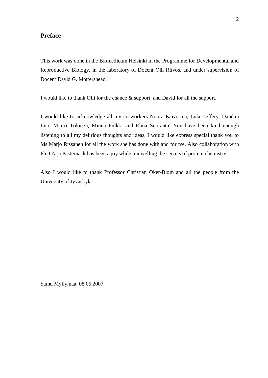#### **Preface**

This work was done in the Biomedicum Helsinki in the Programme for Developmental and Reproductive Biology, in the laboratory of Docent Olli Ritvos, and under supervision of Docent David G. Mottershead.

I would like to thank Olli for the chance & support, and David for all the support.

I would like to acknowledge all my co-workers Noora Kaivo-oja, Luke Jeffery, Dandan Luo, Minna Tolonen, Minna Pulkki and Elina Suoranta. You have been kind enough listening to all my delirious thoughts and ideas. I would like express special thank you to Ms Marjo Rissanen for all the work she has done with and for me. Also collaboration with PhD Arja Pasternack has been a joy while unravelling the secrets of protein chemistry.

Also I would like to thank Professor Christian Oker-Blom and all the people from the University of Jyväskylä.

Samu Myllymaa, 08.05.2007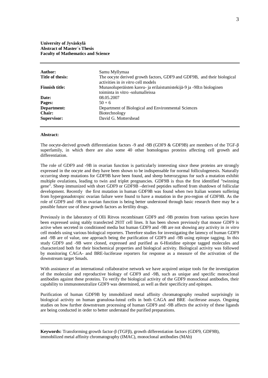#### **University of Jyväskylä Abstract of Master´s Thesis Faculty of Mathematics and Science**

| Author:<br>Title of thesis: | Samu Myllymaa<br>The oocyte derived growth factors, GDF9 and GDF9B, and their biological<br>activities in <i>in vitro</i> cell models |
|-----------------------------|---------------------------------------------------------------------------------------------------------------------------------------|
| <b>Finnish title:</b>       | Munasoluperäisten kasvu- ja erilaistumistekijä-9 ja -9B:n biologinen<br>toiminta in vitro -solumalleissa                              |
| Date:                       | 08.05.2007                                                                                                                            |
| Pages:                      | $50 + 6$                                                                                                                              |
| Department:                 | Department of Biological and Environmental Sciences                                                                                   |
| <b>Chair:</b>               | Biotechnology                                                                                                                         |
| Supervisor:                 | David G. Mottershead                                                                                                                  |

#### **Abstract:**

The oocyte-derived growth differentiation factors -9 and -9B (GDF9  $\&$  GDF9B) are members of the TGF- $\beta$ superfamily, in which there are also some 40 other homologous proteins affecting cell growth and differentiation.

The role of GDF9 and -9B in ovarian function is particularly interesting since these proteins are strongly expressed in the oocyte and they have been shown to be indispensable for normal folliculogenesis. Naturally occurring sheep mutations for GDF9B have been found, and sheep heterozygous for such a mutation exhibit multiple ovulations, leading to twin and triplet pregnancies. GDF9B is thus the first identified "twinning gene". Sheep immunized with short GDF9 or GDF9B –derived peptides suffered from shutdown of follicular development. Recently the first mutation in human GDF9B was found when two Italian women suffering from hypergonadotropic ovarian failure were found to have a mutation in the pro-region of GDF9B. As the role of GDF9 and -9B in ovarian function is being better understood through basic research there may be a possible future use of these growth factors as fertility drugs.

Previously in the laboratory of Olli Ritvos recombinant GDF9 and -9B proteins from various species have been expressed using stably transfected 293T cell lines. It has been shown previously that mouse GDF9 is active when secreted in conditioned media but human GDF9 and -9B are not showing any activity in *in vitro* cell models using various biological reporters. Therefore studies for investigating the latency of human GDF9 and -9B are of value, one approach being the purification of GDF9 and -9B using epitope tagging. In this study GDF9 and -9B were cloned, expressed and purified as 6-Histidine epitope tagged molecules and characterized both for their biochemical properties and biological activity. Biological activity was followed by monitoring CAGA- and BRE-luciferase reporters for response as a measure of the activation of the downstream target Smads.

With assistance of an international collaborative network we have acquired unique tools for the investigation of the molecular and reproductive biology of GDF9 and -9B, such as unique and specific monoclonal antibodies against these proteins. To verify the biological activity of the GDF9 monoclonal antibodies, their capability to immunoneutralize GDF9 was determined, as well as their specificity and epitopes.

Purification of human GDF9B by immobilized metal affinity chromatography resulted surprisingly in biological activity on human granulosa-luteal cells in both CAGA and BRE -luciferase assays. Ongoing studies on how further downstream processing of human GDF9 and -9B affects the activity of these ligands are being conducted in order to better understand the purified preparations.

Keywords: Transforming growth factor- $\beta$  (TGF $\beta$ ), growth differentiation factors (GDF9, GDF9B), immobilized metal affinity chromatography (IMAC), monoclonal antibodies (MAb)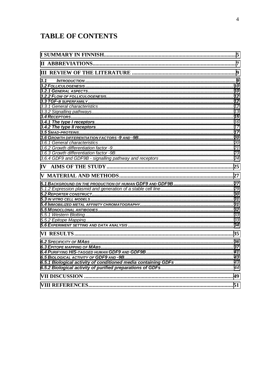# **TABLE OF CONTENTS**

| 3.1 |  |
|-----|--|
|     |  |
|     |  |
|     |  |
|     |  |
|     |  |
|     |  |
|     |  |
|     |  |
|     |  |
|     |  |
|     |  |
|     |  |
|     |  |
|     |  |
|     |  |
|     |  |
|     |  |
|     |  |
|     |  |
|     |  |
|     |  |
|     |  |
|     |  |
|     |  |
|     |  |
|     |  |
|     |  |
|     |  |
|     |  |
|     |  |
|     |  |
|     |  |
|     |  |
|     |  |
|     |  |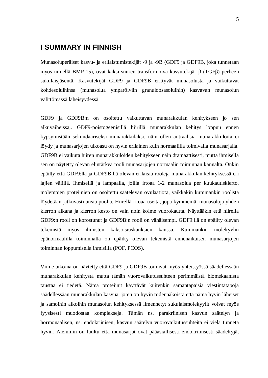## <span id="page-4-0"></span>**I SUMMARY IN FINNISH**

Munasoluperäiset kasvu- ja erilaistumistekijät -9 ja -9B (GDF9 ja GDF9B, joka tunnetaan myös nimellä BMP-15), ovat kaksi suuren transformoiva kasvutekijä - $\beta$  (TGF $\beta$ ) perheen sukulaisjäsentä. Kasvutekijät GDF9 ja GDF9B erittyvät munasolusta ja vaikuttavat kohdesoluihinsa (munasolua ympäröiviin granuloosasoluihin) kasvavan munasolun välittömässä läheisyydessä.

GDF9 ja GDF9B:n on osoitettu vaikuttavan munarakkulan kehitykseen jo sen alkuvaiheissa,. GDF9-poistogeenisillä hiirillä munarakkulan kehitys loppuu ennen kypsymistään sekundaariseksi munarakkulaksi, näin ollen antraalisia munarakkuloita ei löydy ja munasarjojen ulkoasu on hyvin erilainen kuin normaalilla toimivalla munasarjalla. GDF9B ei vaikuta hiiren munarakkuloiden kehitykseen näin dramaattisesti, mutta ihmisellä sen on näytetty olevan elintärkeä rooli munasarjojen normaalin toiminnan kannalta. Onkin epäilty että GDF9:llä ja GDF9B:llä olevan erilaisia rooleja munarakkulan kehityksessä eri lajien välillä. Ihmisellä ja lampaalla, joilla irtoaa 1-2 munasolua per kuukautiskierto, molempien proteiinien on osoitettu säätelevän ovulaatiota, vaikkakin kummankin roolista löydetään jatkuvasti uusia puolia. Hiirellä irtoaa useita, jopa kymmeniä, munasoluja yhden kierron aikana ja kierron kesto on vain noin kolme vuorokautta. Näyttääkin että hiirellä GDF9:n rooli on korostunut ja GDF9B:n rooli on vähäisempi. GDF9:llä on epäilty olevan tekemistä myös ihmisten kaksoisraskauksien kanssa. Kummankin molekyylin epänormaalilla toiminnalla on epäilty olevan tekemistä ennenaikaisen munasarjojen toiminnan loppumisella ihmisillä (POF, PCOS).

Viime aikoina on näytetty että GDF9 ja GDF9B toimivat myös yhteistyössä säädellessään munarakkulan kehitystä mutta tämän vuorovaikutussuhteen perimmäistä biomekaanista taustaa ei tiedetä. Nämä proteiinit käyttävät kuitenkin samantapaisia viestintätapoja säädellessään munarakkulan kasvua, joten on hyvin todennäköistä että nämä hyvin läheiset ja samoihin aikoihin munasolun kehityksessä ilmennetyt sukulaismolekyylit voivat myös fyysisesti muodostaa komplekseja. Tämän ns. parakriinisen kasvun säätelyn ja hormonaalisen, ns. endokriinisen, kasvun säätelyn vuorovaikutussuhteita ei vielä tunneta hyvin. Aiemmin on luultu että munasarjat ovat pääasiallisesti endokriinisesti säädeltyjä,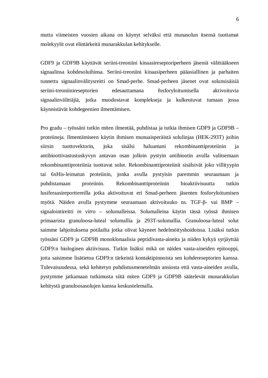mutta viimeisten vuosien aikana on käynyt selväksi että munasolun itsensä tuottamat molekyylit ovat elintärkeitä munarakkulan kehitykselle.

GDF9 ja GDF9B käyttävät seriini-treoniini kinaasireseptoriperheen jäseniä välittääkseen signaalinsa kohdesoluihinsa. Seriini-treoniini kinaasiperheen pääasiallinen ja parhaiten tunnettu signaalinvälitysreitti on Smad-perhe. Smad-perheen jäsenet ovat solunsisäisiä seriini-treoniinireseptorien edesauttamana fosforyloitumisella aktivoituvia signaalinvälittäjiä, jotka muodostavat komplekseja ja kulkeutuvat tumaan jossa käynnistävät kohdegeenien ilmentämisen.

Pro gradu – työssäni tutkin miten ilmentää, puhdistaa ja tutkia ihmisen GDF9 ja GDF9B – proteiineja. Ilmentämiseen käytin ihmisen munuaisperäistä solulinjaa (HEK-293T) joihin siirsin tuottovektorin, joka sisälsi haluamani rekombinanttiproteiinin ja antibioottivastustuskyvyn antavan osan jolloin pystyin antibiootin avulla valitsemaan rekombinanttiproteiinia tuottavat solut. Rekombinanttiproteiinit sisälsivät joko villityypin tai 6xHis-leimatun proteiinin, jonka avulla pystyisin paremmin seuraamaan ja puhdistamaan proteiinin. Rekombinanttiproteiinin bioaktiivisuutta tutkin lusiferaasireporttereilla jotka aktivoituvat eri Smad-perheen jäsenten fosforyloitumisen myötä. Näiden avulla pystymme seuraamaan aktivoituuko ns. TGF-β- vai BMP – signalointireitti *in vitro* – solumalleissa. Solumalleina käytin tässä työssä ihmisen primaarista granuloosa-luteal solumallia ja 293T-solumallia. Granuloosa-luteal solut saimme lahjoituksena potilailta jotka olivat käyneet hedelmöityshoidoissa. Lisäksi tutkin työssäni GDF9 ja GDF9B monoklonaalisia peptidivasta-aineita ja niiden kykyä syrjäyttää GDF9:n biologinen aktiivisuus. Tutkin lisäksi mikä on näiden vasta-aineiden epitooppi, jotta saisimme lisätietoa GDF9:n tärkeistä kontaktipinnoista sen kohdereseptorien kanssa. Tulevaisuudessa, sekä kehitetyn puhdistusmenetelmän ansiosta että vasta-aineiden avulla, pystymme jatkamaan tutkimusta siitä miten GDF9 ja GDF9B säätelevät munarakkulan kehitystä granuloosasolujen kanssa keskustelemalla.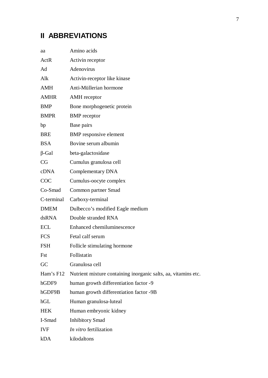# <span id="page-6-0"></span>**II ABBREVIATIONS**

| aa           | Amino acids                                                    |
|--------------|----------------------------------------------------------------|
| ActR         | Activin receptor                                               |
| Ad           | Adenovirus                                                     |
| Alk          | Activin-receptor like kinase                                   |
| <b>AMH</b>   | Anti-Müllerian hormone                                         |
| <b>AMHR</b>  | <b>AMH</b> receptor                                            |
| <b>BMP</b>   | Bone morphogenetic protein                                     |
| <b>BMPR</b>  | <b>BMP</b> receptor                                            |
| bp           | Base pairs                                                     |
| <b>BRE</b>   | <b>BMP</b> responsive element                                  |
| <b>BSA</b>   | Bovine serum albumin                                           |
| $\beta$ -Gal | beta-galactosidase                                             |
| CG           | Cumulus granulosa cell                                         |
| cDNA         | Complementary DNA                                              |
| COC          | Cumulus-oocyte complex                                         |
| Co-Smad      | Common partner Smad                                            |
| C-terminal   | Carboxy-terminal                                               |
| <b>DMEM</b>  | Dulbecco's modified Eagle medium                               |
| dsRNA        | Double stranded RNA                                            |
| <b>ECL</b>   | Enhanced chemiluminescence                                     |
| <b>FCS</b>   | Fetal calf serum                                               |
| <b>FSH</b>   | Follicle stimulating hormone                                   |
| Fst          | Follistatin                                                    |
| GC           | Granulosa cell                                                 |
| Ham's F12    | Nutrient mixture containing inorganic salts, aa, vitamins etc. |
| hGDF9        | human growth differentiation factor -9                         |
| hGDF9B       | human growth differentiation factor -9B                        |
| hGL          | Human granulosa-luteal                                         |
| <b>HEK</b>   | Human embryonic kidney                                         |
| I-Smad       | <b>Inhibitory Smad</b>                                         |
| <b>IVF</b>   | In vitro fertilization                                         |
| kDA          | kilodaltons                                                    |
|              |                                                                |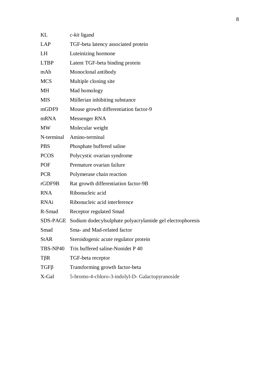| KL          | $c$ - <i>kit</i> ligand                                   |
|-------------|-----------------------------------------------------------|
| LAP         | TGF-beta latency associated protein                       |
| LH          | Luteinizing hormone                                       |
| <b>LTBP</b> | Latent TGF-beta binding protein                           |
| mAb         | Monoclonal antibody                                       |
| <b>MCS</b>  | Multiple cloning site                                     |
| <b>MH</b>   | Mad homology                                              |
| <b>MIS</b>  | Müllerian inhibiting substance                            |
| mGDF9       | Mouse growth differentiation factor-9                     |
| mRNA        | Messenger RNA                                             |
| <b>MW</b>   | Molecular weight                                          |
| N-terminal  | Amino-terminal                                            |
| <b>PBS</b>  | Phosphate buffered saline                                 |
| <b>PCOS</b> | Polycystic ovarian syndrome                               |
| <b>POF</b>  | Premature ovarian failure                                 |
| <b>PCR</b>  | Polymerase chain reaction                                 |
| rGDF9B      | Rat growth differentiation factor-9B                      |
| <b>RNA</b>  | Ribonucleic acid                                          |
| <b>RNAi</b> | Ribonucleic acid interference                             |
| R-Smad      | <b>Receptor regulated Smad</b>                            |
| SDS-PAGE    | Sodium dodecylsulphate polyacrylamide gel electrophoresis |
| Smad        | Sma- and Mad-related factor                               |
| <b>StAR</b> | Steroidogenic acute regulator protein                     |
| TBS-NP40    | Tris buffered saline-Nonidet P 40                         |
| $T\beta R$  | TGF-beta receptor                                         |
| $TGF\beta$  | Transforming growth factor-beta                           |
| X-Gal       | 5-bromo-4-chloro-3-indolyl-D- Galactopyranoside           |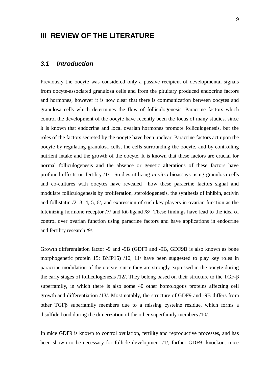## <span id="page-8-0"></span>**III REVIEW OF THE LITERATURE**

### <span id="page-8-1"></span>*3.1 Introduction*

Previously the oocyte was considered only a passive recipient of developmental signals from oocyte-associated granulosa cells and from the pituitary produced endocrine factors and hormones, however it is now clear that there is communication between oocytes and granulosa cells which determines the flow of folliculogenesis. Paracrine factors which control the development of the oocyte have recently been the focus of many studies, since it is known that endocrine and local ovarian hormones promote folliculogenesis, but the roles of the factors secreted by the oocyte have been unclear. Paracrine factors act upon the oocyte by regulating granulosa cells, the cells surrounding the oocyte, and by controlling nutrient intake and the growth of the oocyte. It is known that these factors are crucial for normal folliculogenesis and the absence or genetic alterations of these factors have profound effects on fertility /1/. Studies utilizing *in vitro* bioassays using granulosa cells and co-cultures with oocytes have revealed how these paracrine factors signal and modulate folliculogenesis by proliferation, steroidogenesis, the synthesis of inhibin, activin and follistatin /2, 3, 4, 5, 6/, and expression of such key players in ovarian function as the luteinizing hormone receptor /7/ and kit-ligand /8/. These findings have lead to the idea of control over ovarian function using paracrine factors and have applications in endocrine and fertility research /9/.

Growth differentiation factor -9 and -9B (GDF9 and -9B, GDF9B is also known as bone morphogenetic protein 15; BMP15) /10, 11/ have been suggested to play key roles in paracrine modulation of the oocyte, since they are strongly expressed in the oocyte during the early stages of folliculogenesis  $/12/$ . They belong based on their structure to the TGF- $\beta$ superfamily, in which there is also some 40 other homologous proteins affecting cell growth and differentiation /13/. Most notably, the structure of GDF9 and -9B differs from other TGFE superfamily members due to a missing cysteine residue, which forms a disulfide bond during the dimerization of the other superfamily members /10/.

In mice GDF9 is known to control ovulation, fertility and reproductive processes, and has been shown to be necessary for follicle development /1/, further GDF9 -knockout mice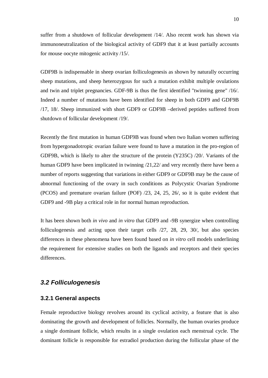suffer from a shutdown of follicular development /14/. Also recent work has shown via immunoneutralization of the biological activity of GDF9 that it at least partially accounts for mouse oocyte mitogenic activity /15/.

GDF9B is indispensable in sheep ovarian folliculogenesis as shown by naturally occurring sheep mutations, and sheep heterozygous for such a mutation exhibit multiple ovulations and twin and triplet pregnancies. GDF-9B is thus the first identified "twinning gene" /16/. Indeed a number of mutations have been identified for sheep in both GDF9 and GDF9B /17, 18/. Sheep immunized with short GDF9 or GDF9B –derived peptides suffered from shutdown of follicular development /19/.

Recently the first mutation in human GDF9B was found when two Italian women suffering from hypergonadotropic ovarian failure were found to have a mutation in the pro-region of GDF9B, which is likely to alter the structure of the protein (Y235C) /20/. Variants of the human GDF9 have been implicated in twinning  $/21,22/$  and very recently there have been a number of reports suggesting that variations in either GDF9 or GDF9B may be the cause of abnormal functioning of the ovary in such conditions as Polycystic Ovarian Syndrome (PCOS) and premature ovarian failure (POF) /23, 24, 25, 26/, so it is quite evident that GDF9 and -9B play a critical role in for normal human reproduction.

It has been shown both *in vivo* and *in vitro* that GDF9 and -9B synergize when controlling folliculogenesis and acting upon their target cells /27, 28, 29, 30/, but also species differences in these phenomena have been found based on *in vitro* cell models underlining the requirement for extensive studies on both the ligands and receptors and their species differences.

#### <span id="page-9-0"></span>*3.2 Folliculogenesis*

#### <span id="page-9-1"></span>**3.2.1 General aspects**

Female reproductive biology revolves around its cyclical activity, a feature that is also dominating the growth and development of follicles. Normally, the human ovaries produce a single dominant follicle, which results in a single ovulation each menstrual cycle. The dominant follicle is responsible for estradiol production during the follicular phase of the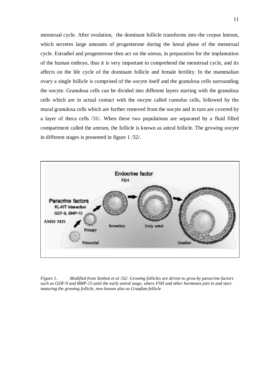menstrual cycle. After ovulation, the dominant follicle transforms into the corpus luteum, which secretes large amounts of progesterone during the luteal phase of the menstrual cycle. Estradiol and progesterone then act on the uterus, in preparation for the implantation of the human embryo, thus it is very important to comprehend the menstrual cycle, and its affects on the life cycle of the dominant follicle and female fertility. In the mammalian ovary a single follicle is comprised of the oocyte itself and the granulosa cells surrounding the oocyte. Granulosa cells can be divided into different layers starting with the granulosa cells which are in actual contact with the oocyte called cumulus cells, followed by the mural granulosa cells which are further removed from the oocyte and in turn are covered by a layer of theca cells /31/. When these two populations are separated by a fluid filled compartment called the antrum, the follicle is known as antral follicle. The growing oocyte in different stages is presented in figure 1 /32/.



*Figure 1. Modified from Senbon et al /32/. Growing follicles are driven to grow by paracrine factors such as GDF-9 and BMP-15 until the early antral stage, where FSH and other hormones join in and start maturing the growing follicle, now known also as Graafian follicle*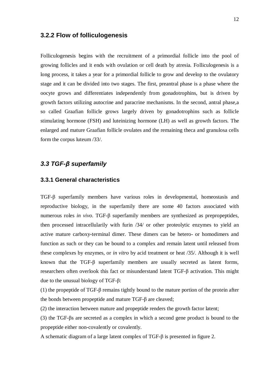#### <span id="page-11-0"></span>**3.2.2 Flow of folliculogenesis**

Folliculogenesis begins with the recruitment of a primordial follicle into the pool of growing follicles and it ends with ovulation or cell death by atresia. Folliculogenesis is a long process, it takes a year for a primordial follicle to grow and develop to the ovulatory stage and it can be divided into two stages. The first, preantral phase is a phase where the oocyte grows and differentiates independently from gonadotrophins, but is driven by growth factors utilizing autocrine and paracrine mechanisms. In the second, antral phase,a so called Graafian follicle grows largely driven by gonadotrophins such as follicle stimulating hormone (FSH) and luteinizing hormone (LH) as well as growth factors. The enlarged and mature Graafian follicle ovulates and the remaining theca and granulosa cells form the corpus luteum /33/.

#### <span id="page-11-1"></span>*3.3 TGF-ȕ superfamily*

#### <span id="page-11-2"></span>**3.3.1 General characteristics**

 $TGF- $\beta$  superfamily members have various roles in developmental, homeostasis and$ reproductive biology, in the superfamily there are some 40 factors associated with numerous roles *in vivo*. TGF-β superfamily members are synthesized as prepropeptides, then processed intracellularily with furin /34/ or other proteolytic enzymes to yield an active mature carboxy-terminal dimer. These dimers can be hetero- or homodimers and function as such or they can be bound to a complex and remain latent until released from these complexes by enzymes, or *in vitro* by acid treatment or heat /35/. Although it is well known that the TGF- $\beta$  superfamily members are usually secreted as latent forms, researchers often overlook this fact or misunderstand latent  $TGF-\beta$  activation. This might due to the unusual biology of  $TGF- $\beta$ :$ 

(1) the propeptide of TGF- $\beta$  remains tightly bound to the mature portion of the protein after the bonds between propeptide and mature  $TGF-\beta$  are cleaved;

(2) the interaction between mature and propeptide renders the growth factor latent;

(3) the TGF-ȕs are secreted as a complex in which a second gene product is bound to the propeptide either non-covalently or covalently.

A schematic diagram of a large latent complex of  $TGF- $\beta$  is presented in figure 2.$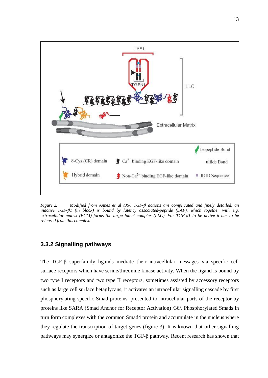

*Figure 2. Modified from Annes et al /35/. TGF-ȕ actions are complicated and finely detailed, an inactive TGF-ȕ1 (in black) is bound by latency associated-peptide (LAP), which together with e.g. extracellular matrix (ECM) forms the large latent complex (LLC). For TGF-ȕ1 to be active it has to be released from this complex.*

#### <span id="page-12-0"></span>**3.3.2 Signalling pathways**

The TGF- $\beta$  superfamily ligands mediate their intracellular messages via specific cell surface receptors which have serine/threonine kinase activity. When the ligand is bound by two type I receptors and two type II receptors, sometimes assisted by accessory receptors such as large cell surface betaglycans, it activates an intracellular signalling cascade by first phosphorylating specific Smad-proteins, presented to intracellular parts of the receptor by proteins like SARA (Smad Anchor for Receptor Activation) /36/. Phosphorylated Smads in turn form complexes with the common Smad4 protein and accumulate in the nucleus where they regulate the transcription of target genes (figure 3). It is known that other signalling pathways may synergize or antagonize the  $TGF-<sub>\beta</sub>$  pathway. Recent research has shown that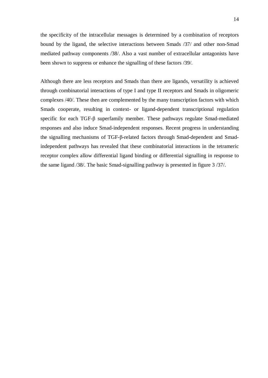the specificity of the intracellular messages is determined by a combination of receptors bound by the ligand, the selective interactions between Smads /37/ and other non-Smad mediated pathway components /38/. Also a vast number of extracellular antagonists have been shown to suppress or enhance the signalling of these factors /39/.

Although there are less receptors and Smads than there are ligands, versatility is achieved through combinatorial interactions of type I and type II receptors and Smads in oligomeric complexes /40/. These then are complemented by the many transcription factors with which Smads cooperate, resulting in context- or ligand-dependent transcriptional regulation specific for each TGF- $\beta$  superfamily member. These pathways regulate Smad-mediated responses and also induce Smad-independent responses. Recent progress in understanding the signalling mechanisms of TGF-β-related factors through Smad-dependent and Smadindependent pathways has revealed that these combinatorial interactions in the tetrameric receptor complex allow differential ligand binding or differential signalling in response to the same ligand /38/. The basic Smad-signalling pathway is presented in figure 3 /37/.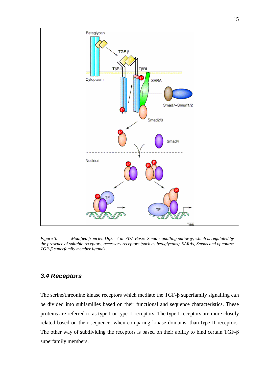

*Figure 3. Modified from ten Dijke et al /37/. Basic Smad-signalling pathway, which is regulated by the presence of suitable receptors, accessory receptors (such as betaglycans), SARAs, Smads and of course TGF-ȕ superfamily member ligands .*

## <span id="page-14-0"></span>*3.4 Receptors*

The serine/threonine kinase receptors which mediate the TGF- $\beta$  superfamily signalling can be divided into subfamilies based on their functional and sequence characteristics. These proteins are referred to as type I or type II receptors. The type I receptors are more closely related based on their sequence, when comparing kinase domains, than type II receptors. The other way of subdividing the receptors is based on their ability to bind certain TGF- $\beta$ superfamily members.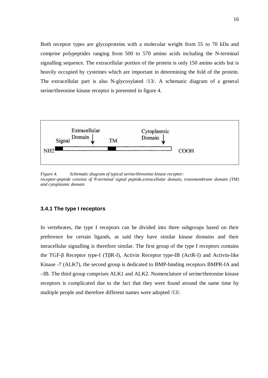Both receptor types are glycoproteins with a molecular weight from 55 to 70 kDa and comprise polypeptides ranging from 500 to 570 amino acids including the N-terminal signalling sequence. The extracellular portion of the protein is only 150 amino acids but is heavily occupied by cysteines which are important in determining the fold of the protein. The extracellular part is also N-glycosylated /13/. A schematic diagram of a general serine/threonine kinase receptor is presented in figure 4.



*Figure 4. Schematic diagram of typical serine/threonine kinase receptor: receptor-peptide consists of N-terminal signal peptide,extracellular domain, transmembrane domain (TM) and cytoplasmic domain*

#### <span id="page-15-0"></span>**3.4.1 The type I receptors**

In vertebrates, the type I receptors can be divided into three subgroups based on their preference for certain ligands, as said they have similar kinase domains and their intracellular signalling is therefore similar. The first group of the type I receptors contains the TGF- $\beta$  Receptor type-I (T $\beta$ R-I), Activin Receptor type-IB (ActR-I) and Activin-like Kinase -7 (ALK7), the second group is dedicated to BMP-binding receptors BMPR-IA and –IB. The third group comprises ALK1 and ALK2. Nomenclature of serine/threonine kinase receptors is complicated due to the fact that they were found around the same time by multiple people and therefore different names were adopted /13/.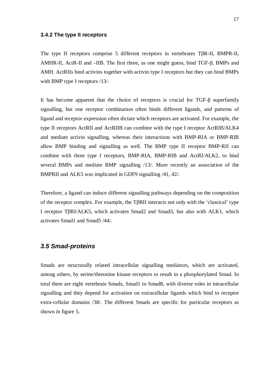#### <span id="page-16-0"></span>**3.4.2 The type II receptors**

The type II receptors comprise 5 different receptors in vertebrates  $T\beta R$ -II, BMPR-II, AMHR-II, ActR-II and  $-HB$ . The first three, as one might guess, bind TGF- $\beta$ , BMPs and AMH. ActRIIs bind activins together with activin type I receptors but they can bind BMPs with BMP type I receptors /13/.

It has become apparent that the choice of receptors is crucial for  $TGF-\beta$  superfamily signalling, but one receptor combination often binds different ligands, and patterns of ligand and receptor expression often dictate which receptors are activated. For example, the type II receptors ActRII and ActRIIB can combine with the type I receptor ActRIB/ALK4 and mediate activin signalling, whereas their interactions with BMP-RIA or BMP-RIB allow BMP binding and signalling as well. The BMP type II receptor BMP-RII can combine with three type I receptors, BMP-RIA, BMP-RIB and ActRI/ALK2, to bind several BMPs and mediate BMP signalling /13/. More recently an association of the BMPRII and ALK5 was implicated in GDF9 signalling /41, 42/.

Therefore, a ligand can induce different signalling pathways depending on the composition of the receptor complex. For example, the T $\beta$ RII interacts not only with the 'classical' type I receptor T $\beta$ RI/ALK5, which activates Smad2 and Smad3, but also with ALK1, which activates Smad1 and Smad5 /44/.

### <span id="page-16-1"></span>*3.5 Smad-proteins*

Smads are structurally related intracellular signalling mediators, which are activated, among others, by serine/threonine kinase receptors to result in a phosphorylated Smad. In total there are eight vertebrate Smads, Smad1 to Smad8, with diverse roles in intracellular signalling and they depend for activation on extracellular ligands which bind to receptor extra-cellular domains /38/. The different Smads are specific for particular receptors as shown in figure 5.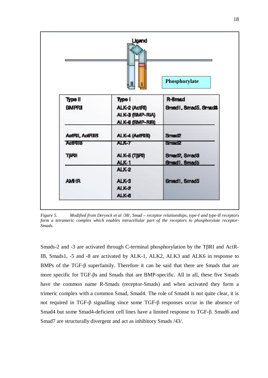

*Figure 5. Modified from Derynck et al /38/, Smad – receptor relationships, type-I and type-II receptors form a tetrameric complex which enables intracellular part of the receptors to phosphorylate receptor-Smads.*

Smads-2 and -3 are activated through C-terminal phosphorylation by the T $\beta$ RI and ActR-IB, Smads1, -5 and -8 are activated by ALK-1, ALK2, ALK3 and ALK6 in response to BMPs of the TGF- $\beta$  superfamily. Therefore it can be said that there are Smads that are more specific for TGF- $\beta$ s and Smads that are BMP-specific. All in all, these five Smads have the common name R-Smads (receptor-Smads) and when activated they form a trimeric complex with a common Smad, Smad4. The role of Smad4 is not quite clear, it is not required in TGF- $\beta$  signalling since some TGF- $\beta$  responses occur in the absence of Smad4 but some Smad4-deficient cell lines have a limited response to TGF- $\beta$ . Smad6 and Smad7 are structurally divergent and act as inhibitory Smads /43/.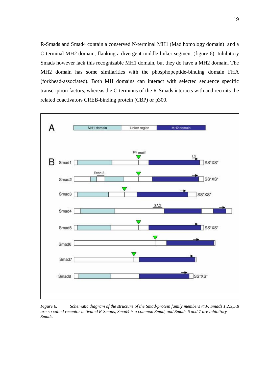R-Smads and Smad4 contain a conserved N-terminal MH1 (Mad homology domain) and a C-terminal MH2 domain, flanking a divergent middle linker segment (figure 6). Inhibitory Smads however lack this recognizable MH1 domain, but they do have a MH2 domain. The MH2 domain has some similarities with the phosphopeptide-binding domain FHA (forkhead-associated). Both MH domains can interact with selected sequence specific transcription factors, whereas the C-terminus of the R-Smads interacts with and recruits the related coactivators CREB-binding protein (CBP) or p300.



*Figure 6. Schematic diagram of the structure of the Smad-protein family members /43/. Smads 1,2,3,5,8 are so called receptor activated R-Smads, Smad4 is a common Smad, and Smads 6 and 7 are inhibitory Smads.*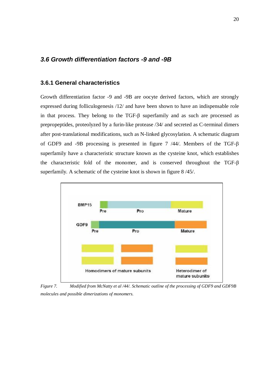### <span id="page-19-0"></span>*3.6 Growth differentiation factors -9 and -9B*

#### <span id="page-19-1"></span>**3.6.1 General characteristics**

Growth differentiation factor -9 and -9B are oocyte derived factors, which are strongly expressed during folliculogenesis /12/ and have been shown to have an indispensable role in that process. They belong to the  $TGF- $\beta$  superfamily and as such are processed as$ prepropeptides, proteolyzed by a furin-like protease /34/ and secreted as C-terminal dimers after post-translational modifications, such as N-linked glycosylation. A schematic diagram of GDF9 and -9B processing is presented in figure 7  $/44/$ . Members of the TGF- $\beta$ superfamily have a characteristic structure known as the cysteine knot, which establishes the characteristic fold of the monomer, and is conserved throughout the TGF- $\beta$ superfamily. A schematic of the cysteine knot is shown in figure 8 /45/.



*Figure 7. Modified from McNatty et al /44/. Schematic outline of the processing of GDF9 and GDF9B molecules and possible dimerizations of monomers.*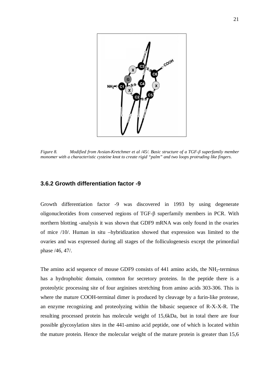

*Figure 8. Modified from Avsian-Kretchmer et al /45/. Basic structure of a TGF-ȕ superfamily member monomer with a characteristic cysteine knot to create rigid "palm" and two loops protruding like fingers.*

#### <span id="page-20-0"></span>**3.6.2 Growth differentiation factor -9**

Growth differentiation factor -9 was discovered in 1993 by using degenerate oligonucleotides from conserved regions of  $TGF- $\beta$  superfamily members in PCR. With$ northern blotting -analysis it was shown that GDF9 mRNA was only found in the ovaries of mice /10/. Human in situ –hybridization showed that expression was limited to the ovaries and was expressed during all stages of the folliculogenesis except the primordial phase /46, 47/.

The amino acid sequence of mouse GDF9 consists of  $441$  amino acids, the NH<sub>2</sub>-terminus has a hydrophobic domain, common for secretory proteins. In the peptide there is a proteolytic processing site of four arginines stretching from amino acids 303-306. This is where the mature COOH-terminal dimer is produced by cleavage by a furin-like protease, an enzyme recognizing and proteolyzing within the bibasic sequence of R-X-X-R. The resulting processed protein has molecule weight of 15,6kDa, but in total there are four possible glycosylation sites in the 441-amino acid peptide, one of which is located within the mature protein. Hence the molecular weight of the mature protein is greater than 15,6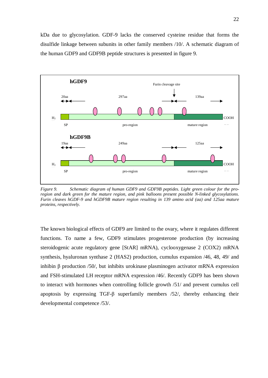kDa due to glycosylation. GDF-9 lacks the conserved cysteine residue that forms the disulfide linkage between subunits in other family members /10/. A schematic diagram of the human GDF9 and GDF9B peptide structures is presented in figure 9.



*Figure 9. Schematic diagram of human GDF9 and GDF9B peptides. Light green colour for the proregion and dark green for the mature region, and pink balloons present possible N-linked glycosylations. Furin cleaves hGDF-9 and hGDF9B mature region resulting in 139 amino acid (aa) and 125aa mature proteins, respectively.*

The known biological effects of GDF9 are limited to the ovary, where it regulates different functions. To name a few, GDF9 stimulates progesterone production (by increasing steroidogenic acute regulatory gene [StAR] mRNA), cyclooxygenase 2 (COX2) mRNA synthesis, hyaluronan synthase 2 (HAS2) production, cumulus expansion /46, 48, 49/ and inhibin  $\beta$  production /50/, but inhibits urokinase plasminogen activator mRNA expression and FSH-stimulated LH receptor mRNA expression /46/. Recently GDF9 has been shown to interact with hormones when controlling follicle growth /51/ and prevent cumulus cell apoptosis by expressing TGF- $\beta$  superfamily members /52/, thereby enhancing their developmental competence /53/.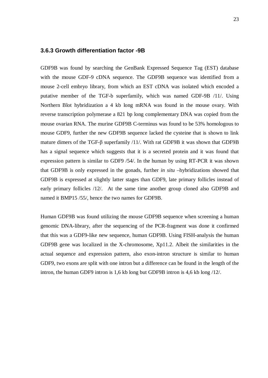#### <span id="page-22-0"></span>**3.6.3 Growth differentiation factor -9B**

GDF9B was found by searching the GenBank Expressed Sequence Tag (EST) database with the mouse GDF-9 cDNA sequence. The GDF9B sequence was identified from a mouse 2-cell embryo library, from which an EST cDNA was isolated which encoded a putative member of the TGF-b superfamily, which was named GDF-9B /11/. Using Northern Blot hybridization a 4 kb long mRNA was found in the mouse ovary. With reverse transcription polymerase a 821 bp long complementary DNA was copied from the mouse ovarian RNA. The murine GDF9B C-terminus was found to be 53% homologous to mouse GDF9, further the new GDF9B sequence lacked the cysteine that is shown to link mature dimers of the TGF- $\beta$  superfamily /11/. With rat GDF9B it was shown that GDF9B has a signal sequence which suggests that it is a secreted protein and it was found that expression pattern is similar to GDF9 /54/. In the human by using RT-PCR it was shown that GDF9B is only expressed in the gonads, further *in situ* –hybridizations showed that GDF9B is expressed at slightly latter stages than GDF9, late primary follicles instead of early primary follicles /12/. At the same time another group cloned also GDF9B and named it BMP15 /55/, hence the two names for GDF9B.

Human GDF9B was found utilizing the mouse GDF9B sequence when screening a human genomic DNA-library, after the sequencing of the PCR-fragment was done it confirmed that this was a GDF9-like new sequence, human GDF9B. Using FISH-analysis the human GDF9B gene was localized in the X-chromosome, Xp11.2. Albeit the similarities in the actual sequence and expression pattern, also exon-intron structure is similar to human GDF9, two exons are split with one intron but a difference can be found in the length of the intron, the human GDF9 intron is 1,6 kb long but GDF9B intron is 4,6 kb long /12/.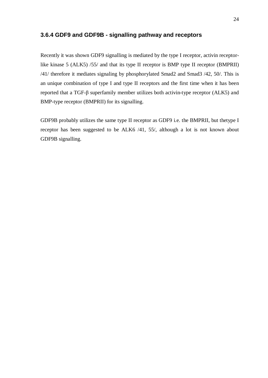### <span id="page-23-0"></span>**3.6.4 GDF9 and GDF9B - signalling pathway and receptors**

Recently it was shown GDF9 signalling is mediated by the type I receptor, activin receptorlike kinase 5 (ALK5) /55/ and that its type II receptor is BMP type II receptor (BMPRII) /41/ therefore it mediates signaling by phosphorylated Smad2 and Smad3 /42, 50/. This is an unique combination of type I and type II receptors and the first time when it has been reported that a TGF- $\beta$  superfamily member utilizes both activin-type receptor (ALK5) and BMP-type receptor (BMPRII) for its signalling.

GDF9B probably utilizes the same type II receptor as GDF9 i.e. the BMPRII, but thetype I receptor has been suggested to be ALK6 /41, 55/, although a lot is not known about GDF9B signalling.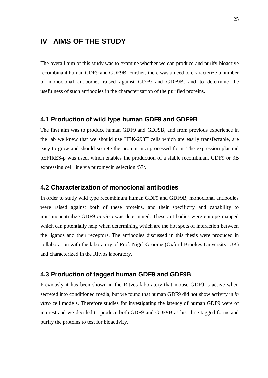## <span id="page-24-0"></span>**IV AIMS OF THE STUDY**

The overall aim of this study was to examine whether we can produce and purify bioactive recombinant human GDF9 and GDF9B. Further, there was a need to characterize a number of monoclonal antibodies raised against GDF9 and GDF9B, and to determine the usefulness of such antibodies in the characterization of the purified proteins.

#### **4.1 Production of wild type human GDF9 and GDF9B**

The first aim was to produce human GDF9 and GDF9B, and from previous experience in the lab we knew that we should use HEK-293T cells which are easily transfectable, are easy to grow and should secrete the protein in a processed form. The expression plasmid pEFIRES-p was used, which enables the production of a stable recombinant GDF9 or 9B expressing cell line via puromycin selection /57/.

#### **4.2 Characterization of monoclonal antibodies**

In order to study wild type recombinant human GDF9 and GDF9B, monoclonal antibodies were raised against both of these proteins, and their specificity and capability to immunoneutralize GDF9 *in vitro* was determined. These antibodies were epitope mapped which can potentially help when determining which are the hot spots of interaction between the ligands and their receptors. The antibodies discussed in this thesis were produced in collaboration with the laboratory of Prof. Nigel Groome (Oxford-Brookes University, UK) and characterized in the Ritvos laboratory.

#### **4.3 Production of tagged human GDF9 and GDF9B**

Previously it has been shown in the Ritvos laboratory that mouse GDF9 is active when secreted into conditioned media, but we found that human GDF9 did not show activity in *in vitro* cell models. Therefore studies for investigating the latency of human GDF9 were of interest and we decided to produce both GDF9 and GDF9B as histidine-tagged forms and purify the proteins to test for bioactivity.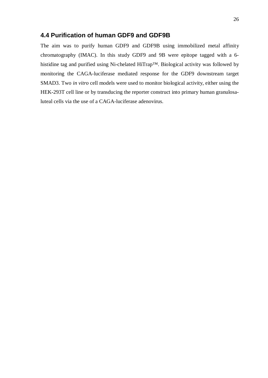### **4.4 Purification of human GDF9 and GDF9B**

The aim was to purify human GDF9 and GDF9B using immobilized metal affinity chromatography (IMAC). In this study GDF9 and 9B were epitope tagged with a 6 histidine tag and purified using Ni-chelated HiTrap™. Biological activity was followed by monitoring the CAGA-luciferase mediated response for the GDF9 downstream target SMAD3. Two *in vitro* cell models were used to monitor biological activity, either using the HEK-293T cell line or by transducing the reporter construct into primary human granulosaluteal cells via the use of a CAGA-luciferase adenovirus.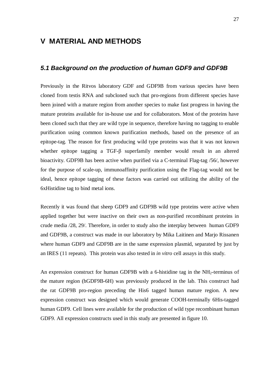## <span id="page-26-0"></span>**V MATERIAL AND METHODS**

#### <span id="page-26-1"></span>*5.1 Background on the production of human GDF9 and GDF9B*

Previously in the Ritvos laboratory GDF and GDF9B from various species have been cloned from testis RNA and subcloned such that pro-regions from different species have been joined with a mature region from another species to make fast progress in having the mature proteins available for in-house use and for collaborators. Most of the proteins have been cloned such that they are wild type in sequence, therefore having no tagging to enable purification using common known purification methods, based on the presence of an epitope-tag. The reason for first producing wild type proteins was that it was not known whether epitope tagging a TGF- $\beta$  superfamily member would result in an altered bioactivity. GDF9B has been active when purified via a C-terminal Flag-tag /56/, however for the purpose of scale-up, immunoaffinity purification using the Flag-tag would not be ideal, hence epitope tagging of these factors was carried out utilizing the ability of the 6xHistidine tag to bind metal ions.

Recently it was found that sheep GDF9 and GDF9B wild type proteins were active when applied together but were inactive on their own as non-purified recombinant proteins in crude media /28, 29/. Therefore, in order to study also the interplay between human GDF9 and GDF9B, a construct was made in our laboratory by Mika Laitinen and Marjo Rissanen where human GDF9 and GDF9B are in the same expression plasmid, separated by just by an IRES (11 repeats). This protein was also tested in *in vitro* cell assays in this study.

An expression construct for human GDF9B with a 6-histidine tag in the NH<sub>2</sub>-terminus of the mature region (hGDF9B-6H) was previously produced in the lab. This construct had the rat GDF9B pro-region preceding the His6 tagged human mature region. A new expression construct was designed which would generate COOH-terminally 6His-tagged human GDF9. Cell lines were available for the production of wild type recombinant human GDF9. All expression constructs used in this study are presented in figure 10.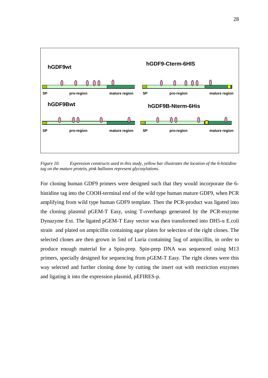

*Figure 10. Expression constructs used in this study, yellow bar illustrates the location of the 6-histidine tag on the mature protein, pink balloons represent glycosylations.*

For cloning human GDF9 primers were designed such that they would incorporate the 6 histidine tag into the COOH-terminal end of the wild type human mature GDF9, when PCR amplifying from wild type human GDF9 template. Then the PCR-product was ligated into the cloning plasmid pGEM-T Easy, using T-overhangs generated by the PCR-enzyme Dynazyme Ext. The ligated pGEM-T Easy vector was then transformed into  $DH5-\alpha$  E.coli strain and plated on ampicillin containing agar plates for selection of the right clones. The selected clones are then grown in 5ml of Luria containing 5ug of ampicillin, in order to produce enough material for a Spin-prep. Spin-prep DNA was sequenced using M13 primers, specially designed for sequencing from pGEM-T Easy. The right clones were this way selected and further cloning done by cutting the insert out with restriction enzymes and ligating it into the expression plasmid, pEFIRES-p.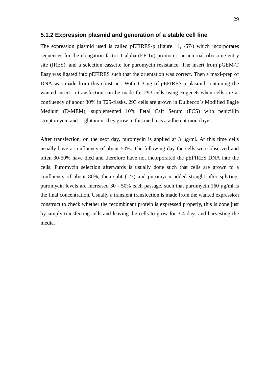#### <span id="page-28-0"></span>**5.1.2 Expression plasmid and generation of a stable cell line**

The expression plasmid used is called pEFIRES-p (figure 11, /57/) which incorporates sequences for the elongation factor 1 alpha ( $EF-1\alpha$ ) promoter, an internal ribosome entry site (IRES), and a selection cassette for puromycin resistance. The insert from pGEM-T Easy was ligated into pEFIRES such that the orientation was correct. Then a maxi-prep of DNA was made from this construct. With 1-3 µg of pEFIRES-p plasmid containing the wanted insert, a transfection can be made for 293 cells using Fugene6 when cells are at confluency of about 30% in T25-flasks. 293 cells are grown in Dulbecco´s Modified Eagle Medium (D-MEM), supplemented 10% Fetal Calf Serum (FCS) with penicillin streptomycin and L-glutamin, they grow in this media as a adherent monolayer.

After transfection, on the next day, puromycin is applied at  $3 \mu g/ml$ . At this time cells usually have a confluency of about 50%. The following day the cells were observed and often 30-50% have died and therefore have not incorporated the pEFIRES DNA into the cells. Puromycin selection afterwards is usually done such that cells are grown to a confluency of about 80%, then split (1/3) and puromycin added straight after splitting, puromycin levels are increased  $30 - 50\%$  each passage, such that puromycin 160  $\mu$ g/ml is the final concentration. Usually a transient transfection is made from the wanted expression construct to check whether the recombinant protein is expressed properly, this is done just by simply transfecting cells and leaving the cells to grow for 3-4 days and harvesting the media.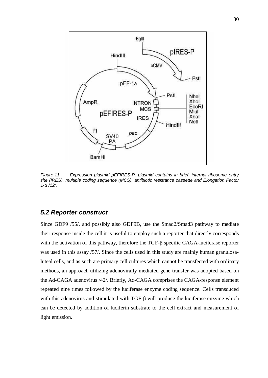

*Figure 11. Expression plasmid pEFIRES-P, plasmid contains in brief, internal ribosome entry site (IRES), multiple coding sequence (MCS), antibiotic resistance cassette and Elongation Factor 1-Į /12/.*

#### <span id="page-29-0"></span>*5.2 Reporter construct*

Since GDF9 /55/, and possibly also GDF9B, use the Smad2/Smad3 pathway to mediate their response inside the cell it is useful to employ such a reporter that directly corresponds with the activation of this pathway, therefore the TGF- $\beta$  specific CAGA-luciferase reporter was used in this assay /57/. Since the cells used in this study are mainly human granulosaluteal cells, and as such are primary cell cultures which cannot be transfected with ordinary methods, an approach utilizing adenovirally mediated gene transfer was adopted based on the Ad-CAGA adenovirus /42/. Briefly, Ad-CAGA comprises the CAGA-response element repeated nine times followed by the luciferase enzyme coding sequence. Cells transduced with this adenovirus and stimulated with  $TGF-\beta$  will produce the luciferase enzyme which can be detected by addition of luciferin substrate to the cell extract and measurement of light emission.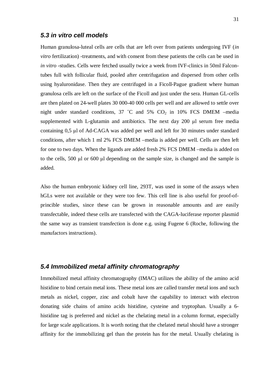#### <span id="page-30-0"></span>*5.3 in vitro cell models*

Human granulosa-luteal cells are cells that are left over from patients undergoing IVF (*in vitro* fertilization) -treatments, and with consent from these patients the cells can be used in *in vitro* -studies. Cells were fetched usually twice a week from IVF-clinics in 50ml Falcontubes full with follicular fluid, pooled after centrifugation and dispersed from other cells using hyaluronidase. Then they are centrifuged in a Ficoll-Pague gradient where human granulosa cells are left on the surface of the Ficoll and just under the sera. Human GL-cells are then plated on 24-well plates 30 000-40 000 cells per well and are allowed to settle over night under standard conditions, 37 °C and 5%  $CO<sub>2</sub>$  in 10% FCS DMEM –media supplemented with L-glutamin and antibiotics. The next day  $200 \mu l$  serum free media containing 0,5 ȝl of Ad-CAGA was added per well and left for 30 minutes under standard conditions, after which 1 ml 2% FCS DMEM –media is added per well. Cells are then left for one to two days. When the ligands are added fresh 2% FCS DMEM –media is added on to the cells, 500  $\mu$ l or 600  $\mu$ l depending on the sample size, is changed and the sample is added.

Also the human embryonic kidney cell line, 293T, was used in some of the assays when hGLs were not available or they were too few. This cell line is also useful for proof-ofprincible studies, since these can be grown in reasonable amounts and are easily transfectable, indeed these cells are transfected with the CAGA-luciferase reporter plasmid the same way as transient transfection is done e.g. using Fugene 6 (Roche, following the manufactors instructions).

### <span id="page-30-1"></span>*5.4 Immobilized metal affinity chromatography*

Immobilized metal affinity chromatography (IMAC) utilizes the ability of the amino acid histidine to bind certain metal ions. These metal ions are called transfer metal ions and such metals as nickel, copper, zinc and cobalt have the capability to interact with electron donating side chains of amino acids histidine, cysteine and tryptophan. Usually a 6 histidine tag is preferred and nickel as the chelating metal in a column format, especially for large scale applications. It is worth noting that the chelated metal should have a stronger affinity for the immobilizing gel than the protein has for the metal. Usually chelating is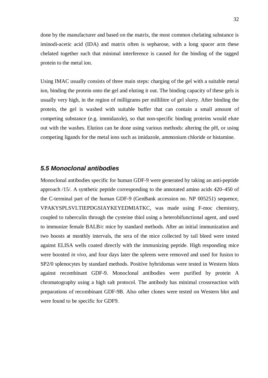done by the manufacturer and based on the matrix, the most common chelating substance is iminodi-acetic acid (IDA) and matrix often is sepharose, with a long spacer arm these chelated together such that minimal interference is caused for the binding of the tagged protein to the metal ion.

Using IMAC usually consists of three main steps: charging of the gel with a suitable metal ion, binding the protein onto the gel and eluting it out. The binding capacity of these gels is usually very high, in the region of milligrams per millilitre of gel slurry. After binding the protein, the gel is washed with suitable buffer that can contain a small amount of competing substance (e.g. immidazole), so that non-specific binding proteins would elute out with the washes. Elution can be done using various methods: altering the pH, or using competing ligands for the metal ions such as imidazole, ammonium chloride or histamine.

#### <span id="page-31-0"></span>*5.5 Monoclonal antibodies*

Monoclonal antibodies specific for human GDF-9 were generated by taking an anti-peptide approach /15/. A synthetic peptide corresponding to the annotated amino acids 420–450 of the C-terminal part of the human GDF-9 (GenBank accession no. NP 005251) sequence, VPAKYSPLSVLTIEPDGSIAYKEYEDMIATKC, was made using F-moc chemistry, coupled to tuberculin through the cysteine thiol using a heterobifunctional agent, and used to immunize female BALB/c mice by standard methods. After an initial immunization and two boosts at monthly intervals, the sera of the mice collected by tail bleed were tested against ELISA wells coated directly with the immunizing peptide. High responding mice were boosted *in vivo*, and four days later the spleens were removed and used for fusion to SP2/0 splenocytes by standard methods. Positive hybridomas were tested in Western blots against recombinant GDF-9. Monoclonal antibodies were purified by protein A chromatography using a high salt protocol. The antibody has minimal crossreaction with preparations of recombinant GDF-9B. Also other clones were tested on Western blot and were found to be specific for GDF9.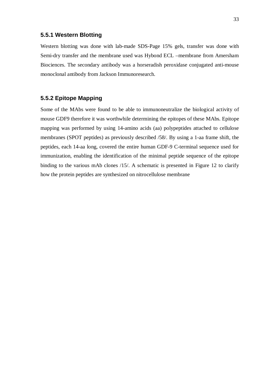#### <span id="page-32-0"></span>**5.5.1 Western Blotting**

Western blotting was done with lab-made SDS-Page 15% gels, transfer was done with Semi-dry transfer and the membrane used was Hybond ECL –membrane from Amersham Biociences. The secondary antibody was a horseradish peroxidase conjugated anti-mouse monoclonal antibody from Jackson Immunoresearch.

### <span id="page-32-1"></span>**5.5.2 Epitope Mapping**

Some of the MAbs were found to be able to immunoneutralize the biological activity of mouse GDF9 therefore it was worthwhile determining the epitopes of these MAbs. Epitope mapping was performed by using 14-amino acids (aa) polypeptides attached to cellulose membranes (SPOT peptides) as previously described /58/. By using a 1-aa frame shift, the peptides, each 14-aa long, covered the entire human GDF-9 C-terminal sequence used for immunization, enabling the identification of the minimal peptide sequence of the epitope binding to the various mAb clones /15/. A schematic is presented in Figure 12 to clarify how the protein peptides are synthesized on nitrocellulose membrane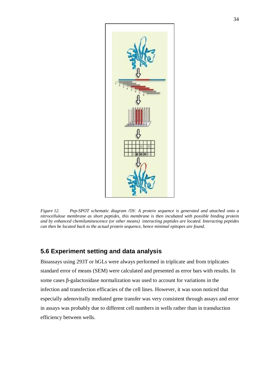

*Figure 12. Pep-SPOT schematic diagram /59/. A protein sequence is generated and attached onto a nitrocellulose membrane as short peptides, this membrane is then incubated with possible binding protein and by enhanced chemiluminescence (or other means) interacting peptides are located. Interacting peptides can then be located back to the actual protein sequence, hence minimal epitopes are found.*

### <span id="page-33-0"></span>**5.6 Experiment setting and data analysis**

Bioassays using 293T or hGLs were always performed in triplicate and from triplicates standard error of means (SEM) were calculated and presented as error bars with results. In some cases  $\beta$ -galactosidase normalization was used to account for variations in the infection and transfection efficacies of the cell lines. However, it was soon noticed that especially adenovirally mediated gene transfer was very consistent through assays and error in assays was probably due to different cell numbers in wells rather than in transduction efficiency between wells.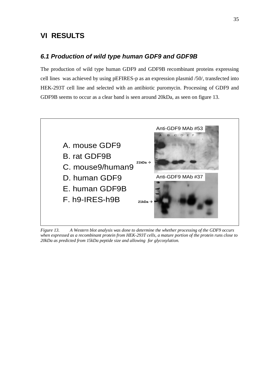## <span id="page-34-0"></span>**VI RESULTS**

### *6.1 Production of wild type human GDF9 and GDF9B*

The production of wild type human GDF9 and GDF9B recombinant proteins expressing cell lines was achieved by using pEFIRES-p as an expression plasmid /50/, transfected into HEK-293T cell line and selected with an antibiotic puromycin. Processing of GDF9 and GDF9B seems to occur as a clear band is seen around 20kDa, as seen on figure 13.



*Figure 13. A Western blot analysis was done to determine the whether processing of the GDF9 occurs when expressed as a recombinant protein from HEK-293T cells, a mature portion of the protein runs close to 20kDa as predicted from 15kDa peptide size and allowing for glycosylation.*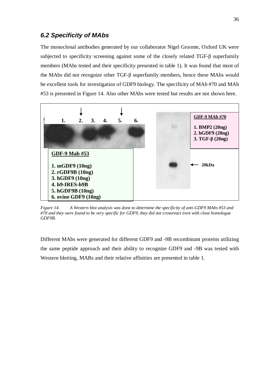### <span id="page-35-0"></span>*6.2 Specificity of MAbs*

The monoclonal antibodies generated by our collaborator Nigel Groome, Oxford UK were subjected to specificity screening against some of the closely related TGF- $\beta$  superfamily members (MAbs tested and their specificity presented in table 1). It was found that most of the MAbs did not recognize other TGF- $\beta$  superfamily members, hence these MAbs would be excellent tools for investigation of GDF9 biology. The specificity of MAb #70 and MAb #53 is presented in Figure 14. Also other MAbs were tested but results are not shown here.



*Figure 14. A Western blot analysis was done to determine the specificity of anti-GDF9 MAbs #53 and #70 and they were found to be very specific for GDF9, they did not crossreact even with close homologue GDF9B.*

Different MAbs were generated for different GDF9 and -9B recombinant proteins utilizing the same peptide approach and their ability to recognize GDF9 and -9B was tested with Western blotting, MABs and their relative affinities are presented in table 1.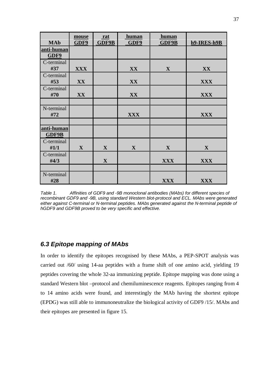| <b>MAb</b>          | mouse<br>GDF9 | $rat$<br><b>GDF9B</b> | <b>human</b><br>GDF9 | <u>human</u><br><b>GDF9B</b> | h9-IRES-h9B  |
|---------------------|---------------|-----------------------|----------------------|------------------------------|--------------|
| anti-human<br>GDF9  |               |                       |                      |                              |              |
| C-terminal<br>#37   | <b>XXX</b>    |                       | XX                   | $\mathbf{X}$                 | XX           |
| C-terminal<br>#53   | XX            |                       | XX                   |                              | <b>XXX</b>   |
| C-terminal<br>#70   | XX            |                       | XX                   |                              | <b>XXX</b>   |
| N-terminal<br>#72   |               |                       | <b>XXX</b>           |                              | <b>XXX</b>   |
|                     |               |                       |                      |                              |              |
| anti-human<br>GDF9B |               |                       |                      |                              |              |
| C-terminal<br>#1/1  | $\mathbf{X}$  | $\mathbf{X}$          | $\mathbf{X}$         | $\mathbf{X}$                 | $\mathbf{X}$ |
| C-terminal<br>#4/3  |               | $\mathbf{X}$          |                      | <b>XXX</b>                   | <b>XXX</b>   |
|                     |               |                       |                      |                              |              |
| N-terminal<br>#28   |               |                       |                      | <b>XXX</b>                   | <b>XXX</b>   |

*Table 1. Affinities of GDF9 and -9B monoclonal antibodies (MAbs) for different species of recombinant GDF9 and -9B, using standard Western blot-protocol and ECL. MAbs were generated either against C-terminal or N-terminal peptides. MAbs generated against the N-terminal peptide of hGDF9 and GDF9B proved to be very specific and effective.*

### <span id="page-36-0"></span>*6.3 Epitope mapping of MAbs*

In order to identify the epitopes recognised by these MAbs, a PEP-SPOT analysis was carried out /60/ using 14-aa peptides with a frame shift of one amino acid, yielding 19 peptides covering the whole 32-aa immunizing peptide. Epitope mapping was done using a standard Western blot –protocol and chemiluminescence reagents. Epitopes ranging from 4 to 14 amino acids were found, and interestingly the MAb having the shortest epitope (EPDG) was still able to immunoneutralize the biological activity of GDF9 /15/. MAbs and their epitopes are presented in figure 15.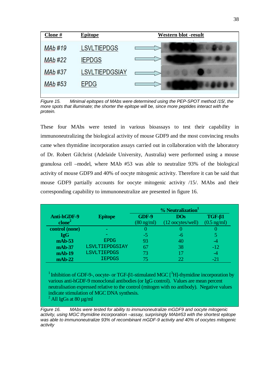| Clone#         | <b>Epitope</b>        | <b>Western blot -result</b> |
|----------------|-----------------------|-----------------------------|
| <b>MAb#19</b>  | <b>LSVLTIEPDGS</b>    |                             |
| <b>MAb</b> #22 | <b>IEPDGS</b>         |                             |
| MAb #37        | <b>LSVLTIEPDGSIAY</b> |                             |
| MAb #53        | <b>EPDG</b>           |                             |

*Figure 15. Minimal epitopes of MAbs were determined using the PEP-SPOT method /15/, the more spots that illuminate; the shorter the epitope will be, since more peptides interact with the protein.*

These four MAbs were tested in various bioassays to test their capability in immunoneutralizing the biological activity of mouse GDF9 and the most convincing results came when thymidine incorporation assays carried out in collaboration with the laboratory of Dr. Robert Gilchrist (Adelaide University, Australia) were performed using a mouse granulosa cell –model, where MAb #53 was able to neutralize 93% of the biological activity of mouse GDF9 and 40% of oocyte mitogenic activity. Therefore it can be said that mouse GDF9 partially accounts for oocyte mitogenic activity /15/. MAbs and their corresponding capability to immunoneutralize are presented in figure 16.

|                    |                    | % Neutralization <sup>1</sup> |                   |                       |
|--------------------|--------------------|-------------------------------|-------------------|-----------------------|
| Anti-hGDF-9        | <b>Epitope</b>     | GDF-9                         | <b>DOs</b>        | $TGF-\beta1$          |
| clone <sup>2</sup> |                    | $(80 \text{ ng/ml})$          | (12 oocytes/well) | $(0.5 \text{ ng/ml})$ |
| control (none)     |                    |                               |                   |                       |
| <b>IgG</b>         |                    | -5                            | -h                |                       |
| $mAb-53$           | <b>EPDG</b>        | 93                            | 40                | -4                    |
| $mAb-37$           | LSVLTIEPDGSIAY     | 67                            | 38                | $-12$                 |
| $mAb-19$           | <b>LSVLTIEPDGS</b> | 73                            |                   | -4                    |
| $mAb-22$           | <b>IEPDGS</b>      | 75                            |                   | $-21$                 |

<sup>1</sup> Inhibition of GDF-9-, oocyte- or TGF- $\beta$ 1-stimulated MGC [<sup>3</sup>H]-thymidine incorporation by various anti-hGDF-9 monoclonal antibodies (or IgG control). Values are mean percent neutralisation expressed relative to the control (mitogen with no antibody). Negative values indicate stimulation of MGC DNA synthesis.  $^2$  All IgGs at 80 µg/ml

*Figure 16. MAbs were tested for ability to immunoneutralize mGDF9 and oocyte mitogenic activity, using MGC thymidine incorporation –assay, surprisingly MAb#53 with the shortest epitope was able to immunoneutralize 93% of recombinant mGDF-9 activity and 40% of oocytes mitogenic activity*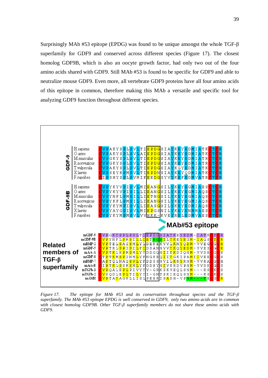Surprisingly MAb  $#53$  epitope (EPDG) was found to be unique amongst the whole TGF- $\beta$ superfamily for GDF9 and conserved across different species (Figure 17). The closest homolog GDF9B, which is also an oocyte growth factor, had only two out of the four amino acids shared with GDF9. Still MAb #53 is found to be specific for GDF9 and able to neutralize mouse GDF9. Even more, all vertebrate GDF9 proteins have all four amino acids of this epitope in common, therefore making this MAb a versatile and specific tool for analyzing GDF9 function throughout different species.



*Figure 17. The epitope for MAb #53 and its conservation throughout species and the TGF-ȕ superfamily. The MAb #53 epitope EPDG is well conserved in GDF9, only two amino acids are in common with closest homolog GDF9B. Other TGF-ȕ superfamily members do not share these amino acids with GDF9.*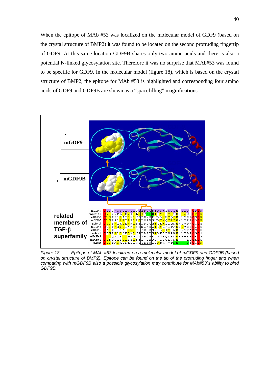When the epitope of MAb #53 was localized on the molecular model of GDF9 (based on the crystal structure of BMP2) it was found to be located on the second protruding fingertip of GDF9. At this same location GDF9B shares only two amino acids and there is also a potential N-linked glycosylation site. Therefore it was no surprise that MAb#53 was found to be specific for GDF9. In the molecular model (figure 18), which is based on the crystal structure of BMP2, the epitope for MAb #53 is highlighted and corresponding four amino acids of GDF9 and GDF9B are shown as a "spacefilling" magnifications.



*Figure 18. Epitope of MAb #53 localized on a molecular model of mGDF9 and GDF9B (based on crystal structure of BMP2). Epitope can be found on the tip of the protruding finger and when comparing with mGDF9B also a possible glycosylation may contribute for MAb#53´s ability to bind GDF9B.*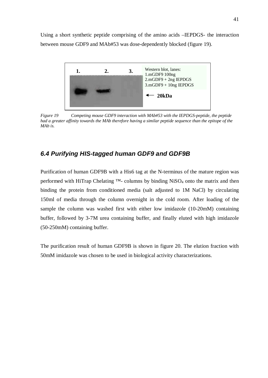Using a short synthetic peptide comprising of the amino acids –IEPDGS- the interaction between mouse GDF9 and MAb#53 was dose-dependently blocked (figure 19).



*Figure 19 Competing mouse GDF9 interaction with MAb#53 with the IEPDGS-peptide, the peptide had a greater affinity towards the MAb therefore having a similar peptide sequence than the epitope of the MAb is.*

## <span id="page-40-0"></span>*6.4 Purifying HIS-tagged human GDF9 and GDF9B*

Purification of human GDF9B with a His6 tag at the N-terminus of the mature region was performed with HiTrap Chelating <sup>™-</sup> columns by binding NiSO<sub>4</sub> onto the matrix and then binding the protein from conditioned media (salt adjusted to 1M NaCl) by circulating 150ml of media through the column overnight in the cold room. After loading of the sample the column was washed first with either low imidazole (10-20mM) containing buffer, followed by 3-7M urea containing buffer, and finally eluted with high imidazole (50-250mM) containing buffer.

The purification result of human GDF9B is shown in figure 20. The elution fraction with 50mM imidazole was chosen to be used in biological activity characterizations.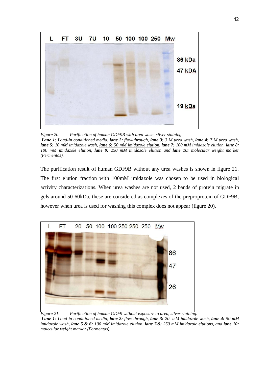

*Figure 20. Purification of human GDF9B with urea wash, silver staining. Lane 1: Load-in conditioned media, lane 2: flow-through, lane 3: 3 M urea wash, lane 4: 7 M urea wash, lane 5: 10 mM imidazole wash, lane 6: 50 mM imidazole elution, lane 7: 100 mM imidazole elution, lane 8: 100 mM imidazole elution, lane 9: 250 mM imidazole elution and lane 10: molecular weight marker (Fermentas).*

The purification result of human GDF9B without any urea washes is shown in figure 21. The first elution fraction with 100mM imidazole was chosen to be used in biological activity characterizations. When urea washes are not used, 2 bands of protein migrate in gels around 50-60kDa, these are considered as complexes of the preproprotein of GDF9B, however when urea is used for washing this complex does not appear (figure 20).



*Figure 21. Purification of human GDF9 without exposure to urea, silver staining.*

*Lane 1: Load-in conditioned media, lane 2: flow-through, lane 3: 20 mM imidazole wash, lane 4: 50 mM imidazole wash, lane 5 & 6: 100 mM imidazole elution, lane 7-9: 250 mM imidazole elutions, and lane 10: molecular weight marker (Fermentas).*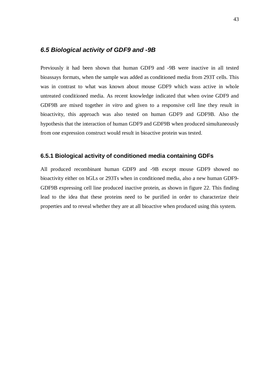#### <span id="page-42-0"></span>*6.5 Biological activity of GDF9 and -9B*

Previously it had been shown that human GDF9 and -9B were inactive in all tested bioassays formats, when the sample was added as conditioned media from 293T cells. This was in contrast to what was known about mouse GDF9 which wass active in whole untreated conditioned media. As recent knowledge indicated that when ovine GDF9 and GDF9B are mixed together *in vitro* and given to a responsive cell line they result in bioactivity, this approach was also tested on human GDF9 and GDF9B. Also the hypothesis that the interaction of human GDF9 and GDF9B when produced simultaneously from one expression construct would result in bioactive protein was tested.

#### <span id="page-42-1"></span>**6.5.1 Biological activity of conditioned media containing GDFs**

All produced recombinant human GDF9 and -9B except mouse GDF9 showed no bioactivity either on hGLs or 293Ts when in conditioned media, also a new human GDF9- GDF9B expressing cell line produced inactive protein, as shown in figure 22. This finding lead to the idea that these proteins need to be purified in order to characterize their properties and to reveal whether they are at all bioactive when produced using this system.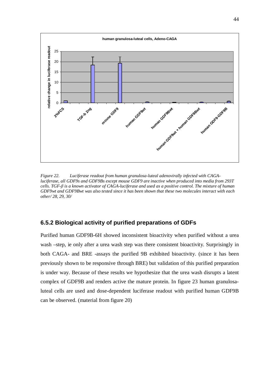

*Figure 22. Luciferase readout from human granulosa-luteal adenovirally infected with CAGAluciferase, all GDF9s and GDF9Bs except mouse GDF9 are inactive when produced into media from 293T cells. TGF-ȕ is a known activator of CAGA-luciferase and used as a positive control. The mixture of human GDF9wt and GDF9Bwt was also tested since it has been shown that these two molecules interact with each other/ 28, 29, 30/*

#### <span id="page-43-0"></span>**6.5.2 Biological activity of purified preparations of GDFs**

Purified human GDF9B-6H showed inconsistent bioactivity when purified without a urea wash –step, ie only after a urea wash step was there consistent bioactivity. Surprisingly in both CAGA- and BRE -assays the purified 9B exhibited bioactivity. (since it has been previously shown to be responsive through BRE) but validation of this purified preparation is under way. Because of these results we hypothesize that the urea wash disrupts a latent complex of GDF9B and renders active the mature protein. In figure 23 human granulosaluteal cells are used and dose-dependent luciferase readout with purified human GDF9B can be observed. (material from figure 20)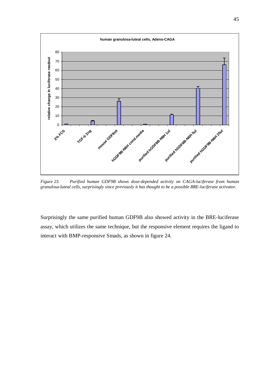

*Figure 23. Purified human GDF9B shows dose-depended activity on CAGA-luciferase from human granulosa-luteal cells, surprisingly since previously it has thought to be a possible BRE-luciferase activator.*

Surprisingly the same purified human GDF9B also showed activity in the BRE-luciferase assay, which utilizes the same technique, but the responsive element requires the ligand to interact with BMP-responsive Smads, as shown in figure 24.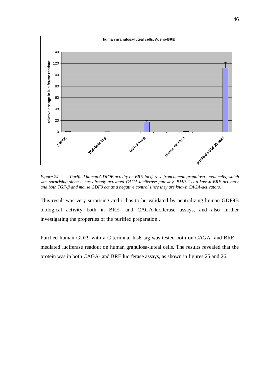

*Figure 24. Purified human GDF9B activity on BRE-luciferase from human granulosa-luteal cells, which was surprising since it has already activated CAGA-luciferase pathway. BMP-2 is a known BRE-activator and both TGF-ȕ and mouse GDF9 act as a negative control since they are known CAGA-activators.*

This result was very surprising and it has to be validated by neutralizing human GDF9B biological activity both in BRE- and CAGA-luciferase assays, and also further investigating the properties of the purified preparation..

Purified human GDF9 with a C-terminal his6 tag was tested both on CAGA- and BRE – mediated luciferase readout on human granulosa-luteal cells. The results revealed that the protein was in both CAGA- and BRE luciferase assays, as shown in figures 25 and 26.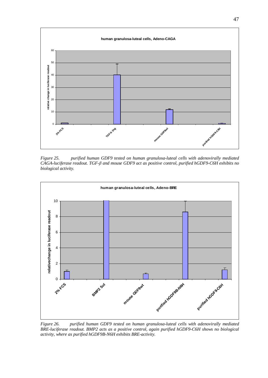

*Figure 25. purified human GDF9 tested on human granulosa-luteal cells with adenovirally mediated CAGA-luciferase readout. TGF-ȕ and mouse GDF9 act as positive control, purified hGDF9-C6H exhibits no biological activity.*



*Figure 26. purified human GDF9 tested on human granulosa-luteal cells with adenovirally mediated BRE-luciferase readout. BMP2 acts as a positive control, again purified hGDF9-C6H shows no biological activity, where as purified hGDF9B-N6H exhibits BRE-activity.*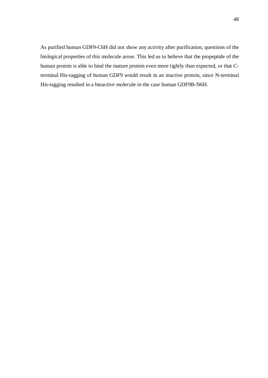As purified human GDF9-C6H did not show any activity after purification, questions of the biological properties of this molecule arose. This led us to believe that the propeptide of the human protein is able to bind the mature protein even more tightly than expected, or that Cterminal His-tagging of human GDF9 would result in an inactive protein, since N-terminal His-tagging resulted in a bioactive molecule in the case human GDF9B-N6H.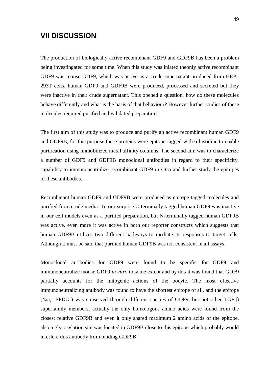## <span id="page-48-0"></span>**VII DISCUSSION**

The production of biologically active recombinant GDF9 and GDF9B has been a problem being investingated for some time. When this study was iniated theonly active recombinant GDF9 was mouse GDF9, which was active as a crude supernatant produced from HEK-293T cells, human GDF9 and GDF9B were produced, processed and secreted but they were inactive in their crude supernatant. This opened a question, how do these molecules behave differently and what is the basis of that behaviour? However further studies of these molecules required purified and validated preparations.

The first aim of this study was to produce and purify an active recombinant human GDF9 and GDF9B, for this purpose these proteins were epitope-tagged with 6-histidine to enable purification using immobilized metal affinity columns. The second aim was to characterize a number of GDF9 and GDF9B monoclonal antibodies in regard to their specificity, capability to immunoneutralize recombinant GDF9 *in vitro* and further study the epitopes of these antibodies.

Recombinant human GDF9 and GDF9B were produced as epitope tagged molecules and purified from crude media. To our surprise C-terminally tagged human GDF9 was inactive in our cell models even as a purified preparation, but N-terminally tagged human GDF9B was active, even more it was active in both our reporter constructs which suggests that human GDF9B utilizes two different pathways to mediate its responses to target cells. Although it must be said that purified human GDF9B was not consistent in all assays.

Monoclonal antibodies for GDF9 were found to be specific for GDF9 and immunoneutralize mouse GDF9 *in vitro* to some extent and by this it was found that GDF9 partially accounts for the mitogenic actions of the oocyte. The most effective immunoneutralizing antibody was found to have the shortest epitope of all, and the epitope (4aa, -EPDG-) was conserved through different species of GDF9, but not other TGF- $\beta$ superfamily members, actually the only homologous amino acids were found from the closest relative GDF9B and even it only shared maximum 2 amino acids of the epitope, also a glycosylation site was located in GDF9B close to this epitope which probably would interfere this antibody from binding GDF9B.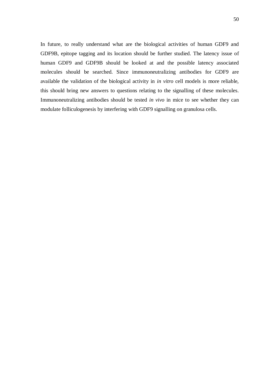In future, to really understand what are the biological activities of human GDF9 and GDF9B, epitope tagging and its location should be further studied. The latency issue of human GDF9 and GDF9B should be looked at and the possible latency associated molecules should be searched. Since immunoneutralizing antibodies for GDF9 are available the validation of the biological activity in *in vitro* cell models is more reliable, this should bring new answers to questions relating to the signalling of these molecules. Immunoneutralizing antibodies should be tested *in vivo* in mice to see whether they can modulate folliculogenesis by interfering with GDF9 signalling on granulosa cells.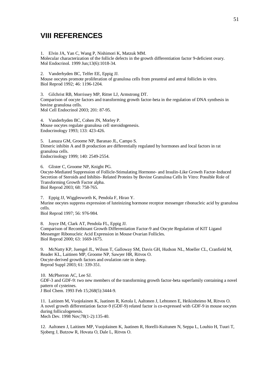## <span id="page-50-0"></span>**VIII REFERENCES**

1. Elvin JA, Yan C, Wang P, Nishimori K, Matzuk MM. Molecular characterization of the follicle defects in the growth differentiation factor 9-deficient ovary. Mol Endocrinol. 1999 Jun;13(6):1018-34.

2. Vanderhyden BC, Telfer EE, Eppig JJ.

Mouse oocytes promote proliferation of granulosa cells from preantral and antral follicles in vitro. Biol Reprod 1992; 46: 1196-1204.

3. Gilchrist RB, Morrissey MP, Ritter LJ, Armstrong DT. Comparison of oocyte factors and transforming growth factor-beta in the regulation of DNA synthesis in bovine granulosa cells. Mol Cell Endocrinol 2003; 201: 87-95.

4. Vanderhyden BC, Cohen JN, Morley P. Mouse oocytes regulate granulosa cell steroidogenesis. Endocrinology 1993; 133: 423-426.

5. Lanuza GM, Groome NP, Baranao JL, Campo S. Dimeric inhibin A and B production are differentially regulated by hormones and local factors in rat granulosa cells. Endocrinology 1999; 140: 2549-2554.

6. Glister C, Groome NP, Knight PG.

Oocyte-Mediated Suppression of Follicle-Stimulating Hormone- and Insulin-Like Growth Factor-Induced Secretion of Steroids and Inhibin- Related Proteins by Bovine Granulosa Cells In Vitro: Possible Role of Transforming Growth Factor alpha.

Biol Reprod 2003; 68: 758-765.

7. Eppig JJ, Wigglesworth K, Pendola F, Hirao Y. Murine oocytes suppress expression of luteinizing hormone receptor messenger ribonucleic acid by granulosa cells.

Biol Reprod 1997; 56: 976-984.

8. Joyce IM, Clark AT, Pendola FL, Eppig JJ. Comparison of Recombinant Growth Differentiation Factor-9 and Oocyte Regulation of KIT Ligand Messenger Ribonucleic Acid Expression in Mouse Ovarian Follicles. Biol Reprod 2000; 63: 1669-1675.

9. McNatty KP, Juengel JL, Wilson T, Galloway SM, Davis GH, Hudson NL, Moeller CL, Cranfield M, Reader KL, Laitinen MP, Groome NP, Sawyer HR, Ritvos O. Oocyte-derived growth factors and ovulation rate in sheep. Reprod Suppl 2003; 61: 339-351.

10. McPherron AC, Lee SJ. GDF-3 and GDF-9: two new members of the transforming growth factor-beta superfamily containing a novel pattern of cysteines. J Biol Chem. 1993 Feb 15;268(5):3444-9.

11. Laitinen M, Vuojolainen K, Jaatinen R, Ketola I, Aaltonen J, Lehtonen E, Heikinheimo M, Ritvos O. A novel growth differentiation factor-9 (GDF-9) related factor is co-expressed with GDF-9 in mouse oocytes during folliculogenesis.

Mech Dev. 1998 Nov;78(1-2):135-40.

12. Aaltonen J, Laitinen MP, Vuojolainen K, Jaatinen R, Horelli-Kuitunen N, Seppa L, Louhio H, Tuuri T, Sjoberg J, Butzow R, Hovata O, Dale L, Ritvos O.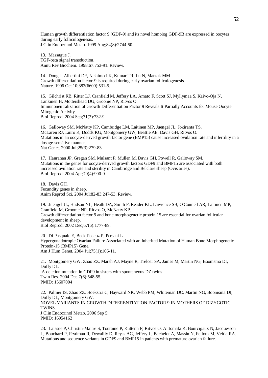Human growth differentiation factor 9 (GDF-9) and its novel homolog GDF-9B are expressed in oocytes during early folliculogenesis. J Clin Endocrinol Metab. 1999 Aug;84(8):2744-50.

13. Massague J. TGF-beta signal transduction. Annu Rev Biochem. 1998;67:753-91. Review.

14. Dong J, Albertini DF, Nishimori K, Kumar TR, Lu N, Matzuk MM Growth differentiation factor-9 is required during early ovarian folliculogenesis. Nature. 1996 Oct 10;383(6600):531-5.

15. Gilchrist RB, Ritter LJ, Cranfield M, Jeffery LA, Amato F, Scott SJ, Myllymaa S, Kaivo-Oja N, Lankinen H, Mottershead DG, Groome NP, Ritvos O. Immunoneutralization of Growth Differentiation Factor 9 Reveals It Partially Accounts for Mouse Oocyte Mitogenic Activity. Biol Reprod. 2004 Sep;71(3):732-9.

16. Galloway SM, McNatty KP, Cambridge LM, Laitinen MP, Juengel JL, Jokiranta TS, McLaren RJ, Luiro K, Dodds KG, Montgomery GW, Beattie AE, Davis GH, Ritvos O. Mutations in an oocyte-derived growth factor gene (BMP15) cause increased ovulation rate and infertility in a dosage-sensitive manner. Nat Genet. 2000 Jul;25(3):279-83.

17. Hanrahan JP, Gregan SM, Mulsant P, Mullen M, Davis GH, Powell R, Galloway SM. Mutations in the genes for oocyte-derived growth factors GDF9 and BMP15 are associated with both increased ovulation rate and sterility in Cambridge and Belclare sheep (Ovis aries). Biol Reprod. 2004 Apr;70(4):900-9.

18. Davis GH. Fecundity genes in sheep. Anim Reprod Sci. 2004 Jul;82-83:247-53. Review.

19. Juengel JL, Hudson NL, Heath DA, Smith P, Reader KL, Lawrence SB, O'Connell AR, Laitinen MP, Cranfield M, Groome NP, Ritvos O, McNatty KP. Growth differentiation factor 9 and bone morphogenetic protein 15 are essential for ovarian follicular development in sheep. Biol Reprod. 2002 Dec;67(6):1777-89.

20. Di Pasquale E, Beck-Peccoz P, Persani L. Hypergonadotropic Ovarian Failure Associated with an Inherited Mutation of Human Bone Morphogenetic Protein-15 (BMP15) Gene. Am J Hum Genet. 2004 Jul;75(1):106-11.

21. Montgomery GW, Zhao ZZ, Marsh AJ, Mayne R, Treloar SA, James M, Martin NG, Boomsma DI, Duffy DL. A deletion mutation in GDF9 in sisters with spontaneous DZ twins. Twin Res. 2004 Dec;7(6):548-55. PMID: 15607004

22. Palmer JS, Zhao ZZ, Hoekstra C, Hayward NK, Webb PM, Whiteman DC, Martin NG, Boomsma DI, Duffy DL, Montgomery GW. NOVEL VARIANTS IN GROWTH DIFFERENTIATION FACTOR 9 IN MOTHERS OF DIZYGOTIC **TWINS** J Clin Endocrinol Metab. 2006 Sep 5; PMID: 16954162

23. Laissue P, Christin-Maitre S, Touraine P, Kuttenn F, Ritvos O, Aittomaki K, Bourcigaux N, Jacquesson L, Bouchard P, Frydman R, Dewailly D, Reyss AC, Jeffery L, Bachelot A, Massin N, Fellous M, Veitia RA. Mutations and sequence variants in GDF9 and BMP15 in patients with premature ovarian failure.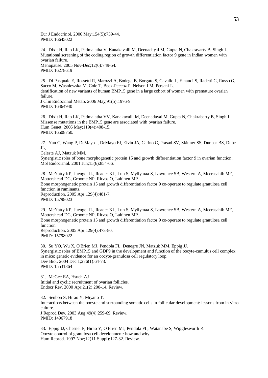Eur J Endocrinol. 2006 May;154(5):739-44. PMID: 16645022

24. Dixit H, Rao LK, Padmalatha V, Kanakavalli M, Deenadayal M, Gupta N, Chakravarty B, Singh L. Mutational screening of the coding region of growth differentiation factor 9 gene in Indian women with ovarian failure. Menopause. 2005 Nov-Dec;12(6):749-54.

PMID: 16278619

25. Di Pasquale E, Rossetti R, Marozzi A, Bodega B, Borgato S, Cavallo L, Einaudi S, Radetti G, Russo G, Sacco M, Wasniewska M, Cole T, Beck-Peccoz P, Nelson LM, Persani L. dentification of new variants of human BMP15 gene in a large cohort of women with premature ovarian failure. J Clin Endocrinol Metab. 2006 May;91(5):1976-9. PMID: 16464940

26. Dixit H, Rao LK, Padmalatha VV, Kanakavalli M, Deenadayal M, Gupta N, Chakrabarty B, Singh L. Missense mutations in the BMP15 gene are associated with ovarian failure. Hum Genet. 2006 May;119(4):408-15. PMID: 16508750.

27. Yan C, Wang P, DeMayo J, DeMayo FJ, Elvin JA, Carino C, Prasad SV, Skinner SS, Dunbar BS, Dube JL,

Celeste AJ, Matzuk MM.

Synergistic roles of bone morphogenetic protein 15 and growth differentiation factor 9 in ovarian function. Mol Endocrinol. 2001 Jun;15(6):854-66.

28. McNatty KP, Juengel JL, Reader KL, Lun S, Myllymaa S, Lawrence SB, Western A, Meerasahib MF, Mottershead DG, Groome NP, Ritvos O, Laitinen MP. Bone morphogenetic protein 15 and growth differentiation factor 9 co-operate to regulate granulosa cell function in ruminants. Reproduction. 2005 Apr;129(4):481-7. PMID: 15798023

29. McNatty KP, Juengel JL, Reader KL, Lun S, Myllymaa S, Lawrence SB, Western A, Meerasahib MF, Mottershead DG, Groome NP, Ritvos O, Laitinen MP.

Bone morphogenetic protein 15 and growth differentiation factor 9 co-operate to regulate granulosa cell function.

Reproduction. 2005 Apr;129(4):473-80. PMID: 15798022

30. Su YQ, Wu X, O'Brien MJ, Pendola FL, Denegre JN, Matzuk MM, Eppig JJ. Synergistic roles of BMP15 and GDF9 in the development and function of the oocyte-cumulus cell complex in mice: genetic evidence for an oocyte-granulosa cell regulatory loop. Dev Biol. 2004 Dec 1;276(1):64-73. PMID: 15531364

31. McGee EA, Hsueh AJ Initial and cyclic recruitment of ovarian follicles. Endocr Rev. 2000 Apr;21(2):200-14. Review.

32. Senbon S, Hirao Y, Miyano T.

Interactions between the oocyte and surrounding somatic cells in follicular development: lessons from in vitro culture. J Reprod Dev. 2003 Aug;49(4):259-69. Review.

PMID: 14967918

33. Eppig JJ, Chesnel F, Hirao Y, O'Brien MJ, Pendola FL, Watanabe S, Wigglesworth K. Oocyte control of granulosa cell development: how and why. Hum Reprod. 1997 Nov;12(11 Suppl):127-32. Review.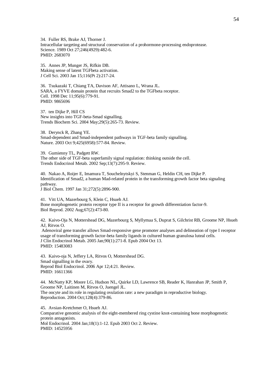34. Fuller RS, Brake AJ, Thorner J. Intracellular targeting and structural conservation of a prohormone-processing endoprotease. Science. 1989 Oct 27;246(4929):482-6. PMID: 2683070

35. Annes JP, Munger JS, Rifkin DB. Making sense of latent TGFbeta activation. J Cell Sci. 2003 Jan 15;116(Pt 2):217-24.

36. Tsukazaki T, Chiang TA, Davison AF, Attisano L, Wrana JL. SARA, a FYVE domain protein that recruits Smad2 to the TGFbeta receptor. Cell. 1998 Dec 11;95(6):779-91. PMID: 9865696

37. ten Dijke P, Hill CS New insights into TGF-beta-Smad signalling. Trends Biochem Sci. 2004 May;29(5):265-73. Review.

38. Derynck R, Zhang YE. Smad-dependent and Smad-independent pathways in TGF-beta family signalling. Nature. 2003 Oct 9;425(6958):577-84. Review.

39. Gumienny TL, Padgett RW. The other side of TGF-beta superfamily signal regulation: thinking outside the cell. Trends Endocrinol Metab. 2002 Sep;13(7):295-9. Review.

40. Nakao A, Roijer E, Imamura T, Souchelnytskyi S, Stenman G, Heldin CH, ten Dijke P. Identification of Smad2, a human Mad-related protein in the transforming growth factor beta signaling pathway.

J Biol Chem. 1997 Jan 31;272(5):2896-900.

41. Vitt UA, Mazerbourg S, Klein C, Hsueh AJ. Bone morphogenetic protein receptor type II is a receptor for growth differentiation factor-9. Biol Reprod. 2002 Aug;67(2):473-80.

42. Kaivo-Oja N, Mottershead DG, Mazerbourg S, Myllymaa S, Duprat S, Gilchrist RB, Groome NP, Hsueh AJ, Ritvos O.

 Adenoviral gene transfer allows Smad-responsive gene promoter analyses and delineation of type I receptor usage of transforming growth factor-beta family ligands in cultured human granulosa luteal cells. J Clin Endocrinol Metab. 2005 Jan;90(1):271-8. Epub 2004 Oct 13. PMID: 15483083

43. Kaivo-oja N, Jeffery LA, Ritvos O, Mottershead DG. Smad signalling in the ovary. Reprod Biol Endocrinol. 2006 Apr 12;4:21. Review. PMID: 16611366

44. McNatty KP, Moore LG, Hudson NL, Quirke LD, Lawrence SB, Reader K, Hanrahan JP, Smith P, Groome NP, Laitinen M, Ritvos O, Juengel JL. The oocyte and its role in regulating ovulation rate: a new paradigm in reproductive biology. Reproduction. 2004 Oct;128(4):379-86.

45. Avsian-Kretchmer O, Hsueh AJ. Comparative genomic analysis of the eight-membered ring cystine knot-containing bone morphogenetic protein antagonists. Mol Endocrinol. 2004 Jan;18(1):1-12. Epub 2003 Oct 2. Review. PMID: 14525956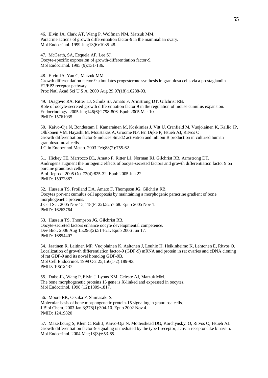46. Elvin JA, Clark AT, Wang P, Wolfman NM, Matzuk MM. Paracrine actions of growth differentiation factor-9 in the mammalian ovary. Mol Endocrinol. 1999 Jun;13(6):1035-48.

47. McGrath, SA, Esquela AF, Lee SJ. Oocyte-specific expression of growth/differentiation factor-9. Mol Endocrinol. 1995 (9):131-136.

48. Elvin JA, Yan C, Matzuk MM. Growth differentiation factor-9 stimulates progesterone synthesis in granulosa cells via a prostaglandin E2/EP2 receptor pathway. Proc Natl Acad Sci U S A. 2000 Aug 29;97(18):10288-93.

49. Dragovic RA, Ritter LJ, Schulz SJ, Amato F, Armstrong DT, Gilchrist RB. Role of oocyte-secreted growth differentiation factor 9 in the regulation of mouse cumulus expansion. Endocrinology. 2005 Jun;146(6):2798-806. Epub 2005 Mar 10. PMID: 15761035

50. Kaivo-Oja N, Bondestam J, Kamarainen M, Koskimies J, Vitt U, Cranfield M, Vuojolainen K, Kallio JP, Olkkonen VM, Hayashi M, Moustakas A, Groome NP, ten Dijke P, Hsueh AJ, Ritvos O. Growth differentiation factor-9 induces Smad2 activation and inhibin B production in cultured human granulosa-luteal cells. J Clin Endocrinol Metab. 2003 Feb;88(2):755-62.

51. Hickey TE, Marrocco DL, Amato F, Ritter LJ, Norman RJ, Gilchrist RB, Armstrong DT. Androgens augment the mitogenic effects of oocyte-secreted factors and growth differentiation factor 9 on porcine granulosa cells. Biol Reprod. 2005 Oct;73(4):825-32. Epub 2005 Jun 22. PMID: 15972887

52. Hussein TS, Froiland DA, Amato F, Thompson JG, Gilchrist RB. Oocytes prevent cumulus cell apoptosis by maintaining a morphogenic paracrine gradient of bone morphogenetic proteins. J Cell Sci. 2005 Nov 15;118(Pt 22):5257-68. Epub 2005 Nov 1. PMID: 16263764

53. Hussein TS, Thompson JG, Gilchrist RB. Oocyte-secreted factors enhance oocyte developmental competence. Dev Biol. 2006 Aug 15;296(2):514-21. Epub 2006 Jun 17. PMID: 16854407

54. Jaatinen R, Laitinen MP, Vuojolainen K, Aaltonen J, Louhio H, Heikinheimo K, Lehtonen E, Ritvos O. Localization of growth differentiation factor-9 (GDF-9) mRNA and protein in rat ovaries and cDNA cloning of rat GDF-9 and its novel homolog GDF-9B. Mol Cell Endocrinol. 1999 Oct 25;156(1-2):189-93. PMID: 10612437

55. Dube JL, Wang P, Elvin J, Lyons KM, Celeste AJ, Matzuk MM. The bone morphogenetic proteins 15 gene is X-linked and expressed in oocytes. Mol Endocrinol. 1998 (12):1809-1817.

56. Moore RK, Otsuka F, Shimasaki S. Molecular basis of bone morphogenetic protein-15 signaling in granulosa cells. J Biol Chem. 2003 Jan 3;278(1):304-10. Epub 2002 Nov 4. PMID: 12419820

57. Mazerbourg S, Klein C, Roh J, Kaivo-Oja N, Mottershead DG, Korchynskyi O, Ritvos O, Hsueh AJ. Growth differentiation factor-9 signaling is mediated by the type I receptor, activin receptor-like kinase 5. Mol Endocrinol. 2004 Mar;18(3):653-65.